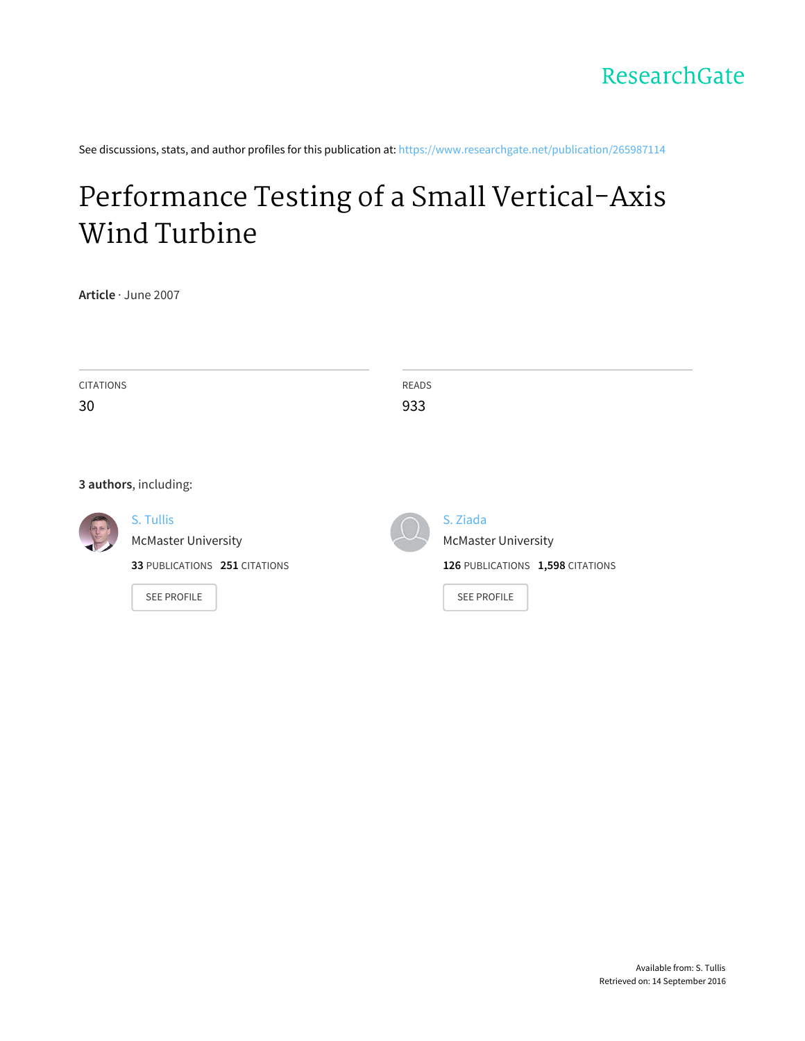See discussions, stats, and author profiles for this publication at: [https://www.researchgate.net/publication/265987114](https://www.researchgate.net/publication/265987114_Performance_Testing_of_a_Small_Vertical-Axis_Wind_Turbine?enrichId=rgreq-241fba60d1e94d0c8a38627a2d6cab9a-XXX&enrichSource=Y292ZXJQYWdlOzI2NTk4NzExNDtBUzoxODU4ODI3MzY4NjUyODJAMTQyMTMyOTMwNjQ2MA%3D%3D&el=1_x_2)

# Performance Testing of a Small [Vertical-Axis](https://www.researchgate.net/publication/265987114_Performance_Testing_of_a_Small_Vertical-Axis_Wind_Turbine?enrichId=rgreq-241fba60d1e94d0c8a38627a2d6cab9a-XXX&enrichSource=Y292ZXJQYWdlOzI2NTk4NzExNDtBUzoxODU4ODI3MzY4NjUyODJAMTQyMTMyOTMwNjQ2MA%3D%3D&el=1_x_3) Wind Turbine

**Article** · June 2007

| <b>CITATIONS</b>      |                               | <b>READS</b> |                                  |
|-----------------------|-------------------------------|--------------|----------------------------------|
| 30                    |                               | 933          |                                  |
|                       |                               |              |                                  |
|                       |                               |              |                                  |
| 3 authors, including: |                               |              |                                  |
| $\mathbb{R}$          | S. Tullis                     |              | S. Ziada                         |
|                       | <b>McMaster University</b>    |              | <b>McMaster University</b>       |
|                       | 33 PUBLICATIONS 251 CITATIONS |              | 126 PUBLICATIONS 1,598 CITATIONS |
|                       | <b>SEE PROFILE</b>            |              | <b>SEE PROFILE</b>               |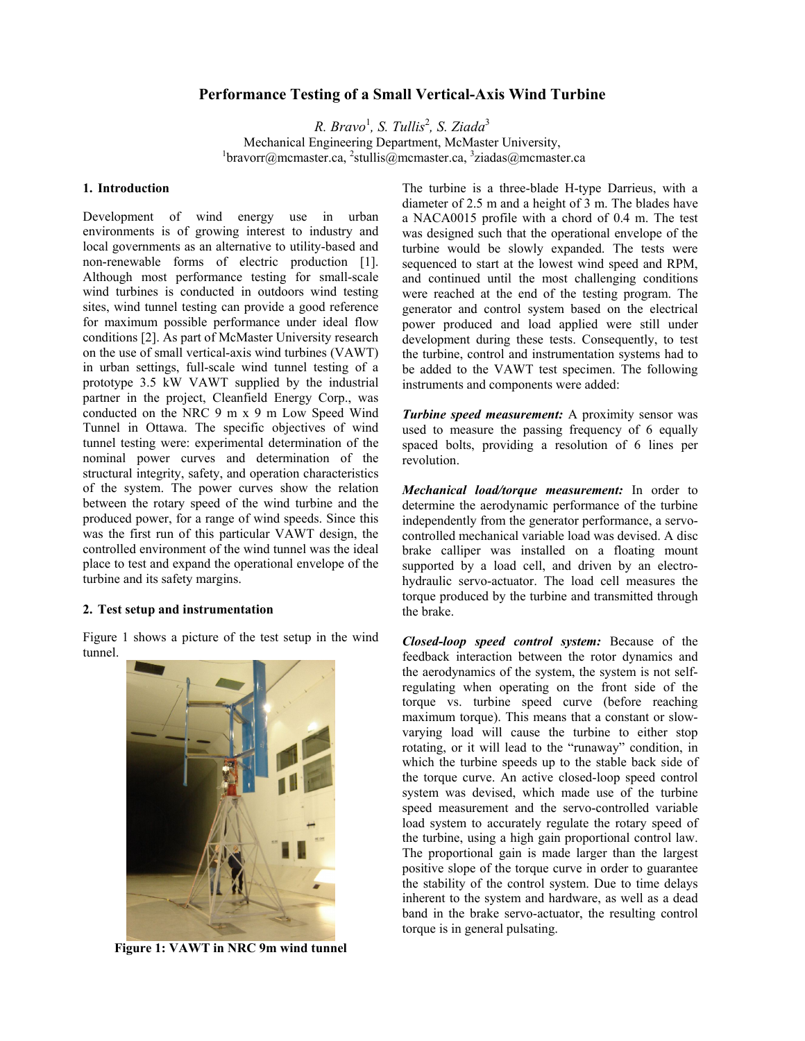# **Performance Testing of a Small Vertical-Axis Wind Turbine**

*R. Bravo<sup>1</sup>, S. Tullis<sup>2</sup>, S. Ziada<sup>3</sup>* Mechanical Engineering Department, McMaster University,  $^{1}$ [bravorr@mcmaster.ca](mailto: 1bravorr@mcmaster.ca),  $^{2}$ [stullis@mcmaster.ca,](mailto:2stullis@mcmaster.ca)  $^{3}$ [ziadas@mcmaster.ca](mailto:3ziadas@mcmaster.ca)

## **1. Introduction**

Development of wind energy use in urban environments is of growing interest to industry and local governments as an alternative to utility-based and non-renewable forms of electric production [1]. Although most performance testing for small-scale wind turbines is conducted in outdoors wind testing sites, wind tunnel testing can provide a good reference for maximum possible performance under ideal flow conditions [2]. As part of McMaster University research on the use of small vertical-axis wind turbines (VAWT) in urban settings, full-scale wind tunnel testing of a prototype 3.5 kW VAWT supplied by the industrial partner in the project, Cleanfield Energy Corp., was conducted on the NRC 9 m x 9 m Low Speed Wind Tunnel in Ottawa. The specific objectives of wind tunnel testing were: experimental determination of the nominal power curves and determination of the structural integrity, safety, and operation characteristics of the system. The power curves show the relation between the rotary speed of the wind turbine and the produced power, for a range of wind speeds. Since this was the first run of this particular VAWT design, the controlled environment of the wind tunnel was the ideal place to test and expand the operational envelope of the turbine and its safety margins.

#### **2. Test setup and instrumentation**

[Figure 1](#page-1-0) shows a picture of the test setup in the wind tunnel.

<span id="page-1-0"></span>

**Figure 1: VAWT in NRC 9m wind tunnel** 

The turbine is a three-blade H-type Darrieus, with a diameter of 2.5 m and a height of 3 m. The blades have a NACA0015 profile with a chord of 0.4 m. The test was designed such that the operational envelope of the turbine would be slowly expanded. The tests were sequenced to start at the lowest wind speed and RPM. and continued until the most challenging conditions were reached at the end of the testing program. The generator and control system based on the electrical power produced and load applied were still under development during these tests. Consequently, to test the turbine, control and instrumentation systems had to be added to the VAWT test specimen. The following instruments and components were added:

*Turbine speed measurement:* A proximity sensor was used to measure the passing frequency of 6 equally spaced bolts, providing a resolution of 6 lines per revolution.

*Mechanical load/torque measurement:* In order to determine the aerodynamic performance of the turbine independently from the generator performance, a servocontrolled mechanical variable load was devised. A disc brake calliper was installed on a floating mount supported by a load cell, and driven by an electrohydraulic servo-actuator. The load cell measures the torque produced by the turbine and transmitted through the brake.

*Closed-loop speed control system:* Because of the feedback interaction between the rotor dynamics and the aerodynamics of the system, the system is not selfregulating when operating on the front side of the torque vs. turbine speed curve (before reaching maximum torque). This means that a constant or slowvarying load will cause the turbine to either stop rotating, or it will lead to the "runaway" condition, in which the turbine speeds up to the stable back side of the torque curve. An active closed-loop speed control system was devised, which made use of the turbine speed measurement and the servo-controlled variable load system to accurately regulate the rotary speed of the turbine, using a high gain proportional control law. The proportional gain is made larger than the largest positive slope of the torque curve in order to guarantee the stability of the control system. Due to time delays inherent to the system and hardware, as well as a dead band in the brake servo-actuator, the resulting control torque is in general pulsating.